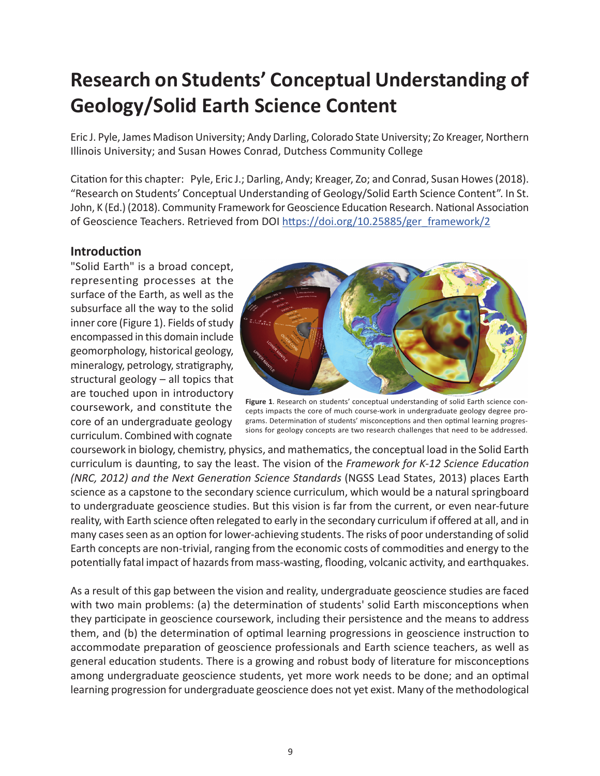# **Research on Students' Conceptual Understanding of Geology/Solid Earth Science Content**

Eric J. Pyle, James Madison University; Andy Darling, Colorado State University; Zo Kreager, Northern Illinois University; and Susan Howes Conrad, Dutchess Community College

Citation for this chapter: Pyle, Eric J.; Darling, Andy; Kreager, Zo; and Conrad, Susan Howes (2018). "Research on Students' Conceptual Understanding of Geology/Solid Earth Science Content". In St. John, K (Ed.) (2018). Community Framework for Geoscience Education Research. National Association of Geoscience Teachers. Retrieved from DOI [https://doi.org/10.25885/ger\\_framework/2](https://doi.org/10.25885/ger_framework/2)

#### **Introduction**

"Solid Earth" is a broad concept, representing processes at the surface of the Earth, as well as the subsurface all the way to the solid inner core (Figure 1). Fields of study encompassed in this domain include geomorphology, historical geology, mineralogy, petrology, stratigraphy, structural geology – all topics that are touched upon in introductory coursework, and constitute the core of an undergraduate geology curriculum. Combined with cognate



**Figure 1**. Research on students' conceptual understanding of solid Earth science concepts impacts the core of much course-work in undergraduate geology degree programs. Determination of students' misconceptions and then optimal learning progressions for geology concepts are two research challenges that need to be addressed.

coursework in biology, chemistry, physics, and mathematics, the conceptual load in the Solid Earth curriculum is daunting, to say the least. The vision of the *Framework for K-12 Science Education (NRC, 2012) and the Next Generation Science Standards* (NGSS Lead States, 2013) places Earth science as a capstone to the secondary science curriculum, which would be a natural springboard to undergraduate geoscience studies. But this vision is far from the current, or even near-future reality, with Earth science often relegated to early in the secondary curriculum if offered at all, and in many cases seen as an option for lower-achieving students. The risks of poor understanding of solid Earth concepts are non-trivial, ranging from the economic costs of commodities and energy to the potentially fatal impact of hazards from mass-wasting, flooding, volcanic activity, and earthquakes.

As a result of this gap between the vision and reality, undergraduate geoscience studies are faced with two main problems: (a) the determination of students' solid Earth misconceptions when they participate in geoscience coursework, including their persistence and the means to address them, and (b) the determination of optimal learning progressions in geoscience instruction to accommodate preparation of geoscience professionals and Earth science teachers, as well as general education students. There is a growing and robust body of literature for misconceptions among undergraduate geoscience students, yet more work needs to be done; and an optimal learning progression for undergraduate geoscience does not yet exist. Many of the methodological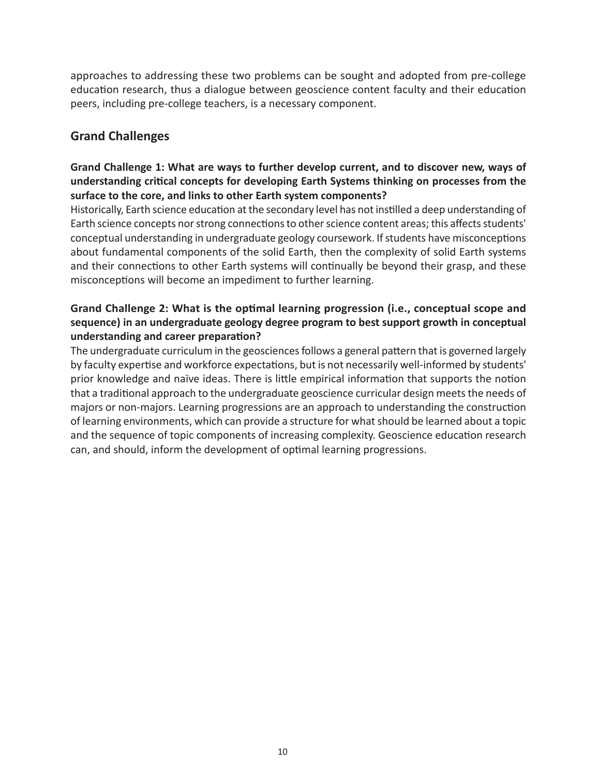approaches to addressing these two problems can be sought and adopted from pre-college education research, thus a dialogue between geoscience content faculty and their education peers, including pre-college teachers, is a necessary component.

### **Grand Challenges**

#### **Grand Challenge 1: What are ways to further develop current, and to discover new, ways of understanding critical concepts for developing Earth Systems thinking on processes from the surface to the core, and links to other Earth system components?**

Historically, Earth science education at the secondary level has not instilled a deep understanding of Earth science concepts nor strong connections to other science content areas; this affects students' conceptual understanding in undergraduate geology coursework. If students have misconceptions about fundamental components of the solid Earth, then the complexity of solid Earth systems and their connections to other Earth systems will continually be beyond their grasp, and these misconceptions will become an impediment to further learning.

#### **Grand Challenge 2: What is the optimal learning progression (i.e., conceptual scope and sequence) in an undergraduate geology degree program to best support growth in conceptual understanding and career preparation?**

The undergraduate curriculum in the geosciences follows a general pattern that is governed largely by faculty expertise and workforce expectations, but is not necessarily well-informed by students' prior knowledge and naïve ideas. There is little empirical information that supports the notion that a traditional approach to the undergraduate geoscience curricular design meets the needs of majors or non-majors. Learning progressions are an approach to understanding the construction of learning environments, which can provide a structure for what should be learned about a topic and the sequence of topic components of increasing complexity. Geoscience education research can, and should, inform the development of optimal learning progressions.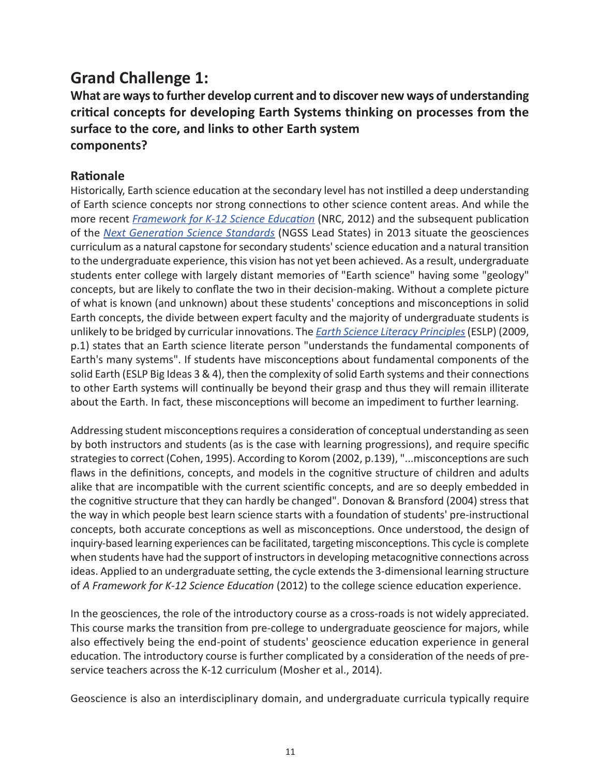# **Grand Challenge 1:**

**What are ways to further develop current and to discover new ways of understanding critical concepts for developing Earth Systems thinking on processes from the surface to the core, and links to other Earth system components?**

### **Rationale**

Historically, Earth science education at the secondary level has not instilled a deep understanding of Earth science concepts nor strong connections to other science content areas. And while the more recent *[Framework for K-12 Science Education](https://www.nap.edu/catalog/13165/a-framework-for-k-12-science-education-practices-crosscutting-concepts)* (NRC, 2012) and the subsequent publication of the *[Next Generation Science Standards](https://www.nextgenscience.org/)* (NGSS Lead States) in 2013 situate the geosciences curriculum as a natural capstone for secondary students' science education and a natural transition to the undergraduate experience, this vision has not yet been achieved. As a result, undergraduate students enter college with largely distant memories of "Earth science" having some "geology" concepts, but are likely to conflate the two in their decision-making. Without a complete picture of what is known (and unknown) about these students' conceptions and misconceptions in solid Earth concepts, the divide between expert faculty and the majority of undergraduate students is unlikely to be bridged by curricular innovations. The *[Earth Science Literacy Principles](https://scied.ucar.edu/sites/default/files/images/long-content-page/earth_science_literacy_brochure.pdf)* (ESLP) (2009, p.1) states that an Earth science literate person "understands the fundamental components of Earth's many systems". If students have misconceptions about fundamental components of the solid Earth (ESLP Big Ideas 3 & 4), then the complexity of solid Earth systems and their connections to other Earth systems will continually be beyond their grasp and thus they will remain illiterate about the Earth. In fact, these misconceptions will become an impediment to further learning.

Addressing student misconceptions requires a consideration of conceptual understanding as seen by both instructors and students (as is the case with learning progressions), and require specific strategies to correct (Cohen, 1995). According to Korom (2002, p.139), "...misconceptions are such flaws in the definitions, concepts, and models in the cognitive structure of children and adults alike that are incompatible with the current scientific concepts, and are so deeply embedded in the cognitive structure that they can hardly be changed". Donovan & Bransford (2004) stress that the way in which people best learn science starts with a foundation of students' pre-instructional concepts, both accurate conceptions as well as misconceptions. Once understood, the design of inquiry-based learning experiences can be facilitated, targeting misconceptions. This cycle is complete when students have had the support of instructors in developing metacognitive connections across ideas. Applied to an undergraduate setting, the cycle extends the 3-dimensional learning structure of *A Framework for K-12 Science Education* (2012) to the college science education experience.

In the geosciences, the role of the introductory course as a cross-roads is not widely appreciated. This course marks the transition from pre-college to undergraduate geoscience for majors, while also effectively being the end-point of students' geoscience education experience in general education. The introductory course is further complicated by a consideration of the needs of preservice teachers across the K-12 curriculum (Mosher et al., 2014).

Geoscience is also an interdisciplinary domain, and undergraduate curricula typically require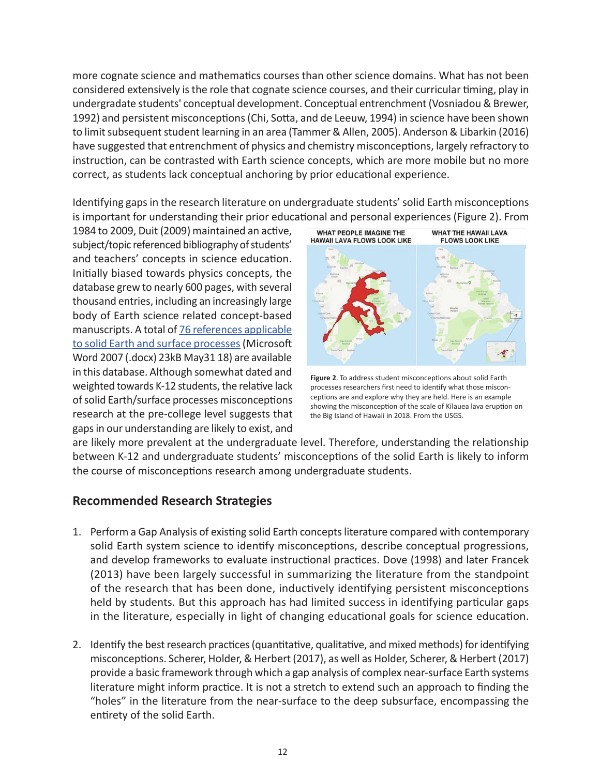more cognate science and mathematics courses than other science domains. What has not been considered extensively is the role that cognate science courses, and their curricular timing, play in undergradate students' conceptual development. Conceptual entrenchment (Vosniadou & Brewer, 1992) and persistent misconceptions (Chi, Sotta, and de Leeuw, 1994) in science have been shown to limit subsequent student learning in an area (Tammer & Allen, 2005). Anderson & Libarkin (2016) have suggested that entrenchment of physics and chemistry misconceptions, largely refractory to instruction, can be contrasted with Earth science concepts, which are more mobile but no more correct, as students lack conceptual anchoring by prior educational experience.

Identifying gaps in the research literature on undergraduate students' solid Earth misconceptions is important for understanding their prior educational and personal experiences (Figure 2). From

1984 to 2009, Duit (2009) maintained an active, subject/topic referenced bibliography of students' and teachers' concepts in science education. Initially biased towards physics concepts, the database grew to nearly 600 pages, with several thousand entries, including an increasingly large body of Earth science related concept-based manuscripts. A total of [76 references applicable](https://d32ogoqmya1dw8.cloudfront.net/files/nagt/geoedresearch/GER_framework/theme1/earth_science_misconceptions_refere.docx) [to solid Earth and surface processes](https://d32ogoqmya1dw8.cloudfront.net/files/nagt/geoedresearch/GER_framework/theme1/earth_science_misconceptions_refere.docx) (Microsoft Word 2007 (.docx) 23kB May31 18) are available in this database. Although somewhat dated and weighted towards K-12 students, the relative lack of solid Earth/surface processes misconceptions research at the pre-college level suggests that gaps in our understanding are likely to exist, and



**Figure 2**. To address student misconceptions about solid Earth processes researchers first need to identify what those misconceptions are and explore why they are held. Here is an example showing the misconception of the scale of Kilauea lava eruption on the Big Island of Hawaii in 2018. From the USGS.

are likely more prevalent at the undergraduate level. Therefore, understanding the relationship between K-12 and undergraduate students' misconceptions of the solid Earth is likely to inform the course of misconceptions research among undergraduate students.

#### **Recommended Research Strategies**

- 1. Perform a Gap Analysis of existing solid Earth concepts literature compared with contemporary solid Earth system science to identify misconceptions, describe conceptual progressions, and develop frameworks to evaluate instructional practices. Dove (1998) and later Francek (2013) have been largely successful in summarizing the literature from the standpoint of the research that has been done, inductively identifying persistent misconceptions held by students. But this approach has had limited success in identifying particular gaps in the literature, especially in light of changing educational goals for science education.
- 2. Identify the best research practices (quantitative, qualitative, and mixed methods) for identifying misconceptions. Scherer, Holder, & Herbert (2017), as well as Holder, Scherer, & Herbert (2017) provide a basic framework through which a gap analysis of complex near-surface Earth systems literature might inform practice. It is not a stretch to extend such an approach to finding the "holes" in the literature from the near-surface to the deep subsurface, encompassing the entirety of the solid Earth.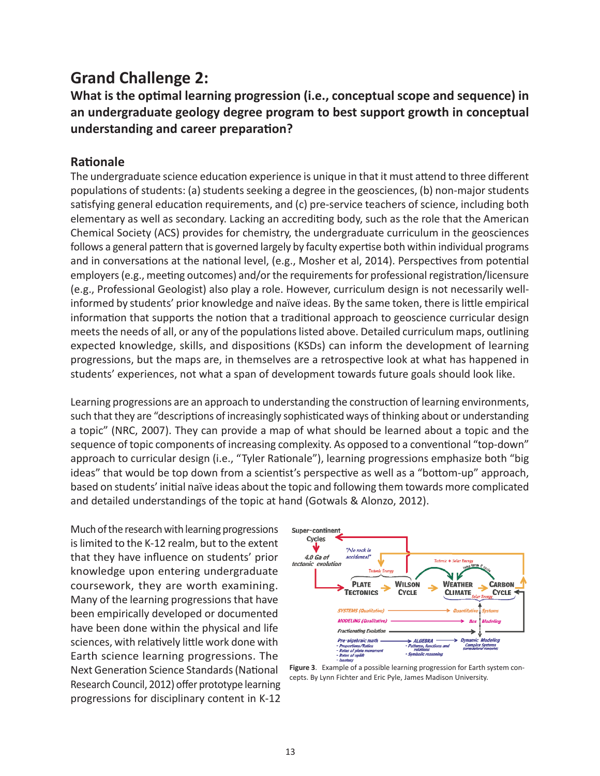## **Grand Challenge 2:**

**What is the optimal learning progression (i.e., conceptual scope and sequence) in an undergraduate geology degree program to best support growth in conceptual understanding and career preparation?**

#### **Rationale**

The undergraduate science education experience is unique in that it must attend to three different populations of students: (a) students seeking a degree in the geosciences, (b) non-major students satisfying general education requirements, and (c) pre-service teachers of science, including both elementary as well as secondary. Lacking an accrediting body, such as the role that the American Chemical Society (ACS) provides for chemistry, the undergraduate curriculum in the geosciences follows a general pattern that is governed largely by faculty expertise both within individual programs and in conversations at the national level, (e.g., Mosher et al, 2014). Perspectives from potential employers (e.g., meeting outcomes) and/or the requirements for professional registration/licensure (e.g., Professional Geologist) also play a role. However, curriculum design is not necessarily wellinformed by students' prior knowledge and naïve ideas. By the same token, there is little empirical information that supports the notion that a traditional approach to geoscience curricular design meets the needs of all, or any of the populations listed above. Detailed curriculum maps, outlining expected knowledge, skills, and dispositions (KSDs) can inform the development of learning progressions, but the maps are, in themselves are a retrospective look at what has happened in students' experiences, not what a span of development towards future goals should look like.

Learning progressions are an approach to understanding the construction of learning environments, such that they are "descriptions of increasingly sophisticated ways of thinking about or understanding a topic" (NRC, 2007). They can provide a map of what should be learned about a topic and the sequence of topic components of increasing complexity. As opposed to a conventional "top-down" approach to curricular design (i.e., "Tyler Rationale"), learning progressions emphasize both "big ideas" that would be top down from a scientist's perspective as well as a "bottom-up" approach, based on students' initial naïve ideas about the topic and following them towards more complicated and detailed understandings of the topic at hand (Gotwals & Alonzo, 2012).

Much of the research with learning progressions is limited to the K-12 realm, but to the extent that they have influence on students' prior knowledge upon entering undergraduate coursework, they are worth examining. Many of the learning progressions that have been empirically developed or documented have been done within the physical and life sciences, with relatively little work done with Earth science learning progressions. The Next Generation Science Standards (National Research Council, 2012) offer prototype learning progressions for disciplinary content in K-12



**Figure 3**. Example of a possible learning progression for Earth system concepts. By Lynn Fichter and Eric Pyle, James Madison University.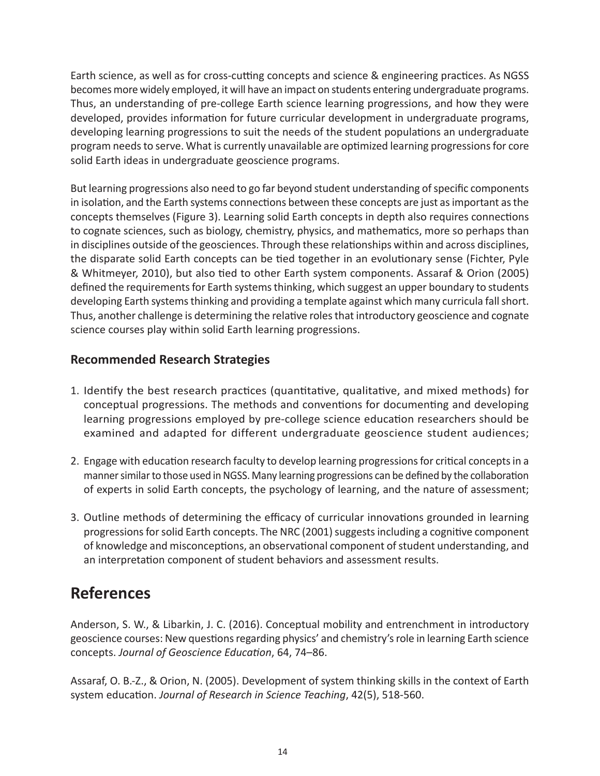Earth science, as well as for cross-cutting concepts and science & engineering practices. As NGSS becomes more widely employed, it will have an impact on students entering undergraduate programs. Thus, an understanding of pre-college Earth science learning progressions, and how they were developed, provides information for future curricular development in undergraduate programs, developing learning progressions to suit the needs of the student populations an undergraduate program needs to serve. What is currently unavailable are optimized learning progressions for core solid Earth ideas in undergraduate geoscience programs.

But learning progressions also need to go far beyond student understanding of specific components in isolation, and the Earth systems connections between these concepts are just as important as the concepts themselves (Figure 3). Learning solid Earth concepts in depth also requires connections to cognate sciences, such as biology, chemistry, physics, and mathematics, more so perhaps than in disciplines outside of the geosciences. Through these relationships within and across disciplines, the disparate solid Earth concepts can be tied together in an evolutionary sense (Fichter, Pyle & Whitmeyer, 2010), but also tied to other Earth system components. Assaraf & Orion (2005) defined the requirements for Earth systems thinking, which suggest an upper boundary to students developing Earth systems thinking and providing a template against which many curricula fall short. Thus, another challenge is determining the relative roles that introductory geoscience and cognate science courses play within solid Earth learning progressions.

### **Recommended Research Strategies**

- 1. Identify the best research practices (quantitative, qualitative, and mixed methods) for conceptual progressions. The methods and conventions for documenting and developing learning progressions employed by pre-college science education researchers should be examined and adapted for different undergraduate geoscience student audiences;
- 2. Engage with education research faculty to develop learning progressions for critical concepts in a manner similar to those used in NGSS. Many learning progressions can be defined by the collaboration of experts in solid Earth concepts, the psychology of learning, and the nature of assessment;
- 3. Outline methods of determining the efficacy of curricular innovations grounded in learning progressions for solid Earth concepts. The NRC (2001) suggests including a cognitive component of knowledge and misconceptions, an observational component of student understanding, and an interpretation component of student behaviors and assessment results.

### **References**

Anderson, S. W., & Libarkin, J. C. (2016). Conceptual mobility and entrenchment in introductory geoscience courses: New questions regarding physics' and chemistry's role in learning Earth science concepts. *Journal of Geoscience Education*, 64, 74–86.

Assaraf, O. B.-Z., & Orion, N. (2005). Development of system thinking skills in the context of Earth system education. *Journal of Research in Science Teaching*, 42(5), 518-560.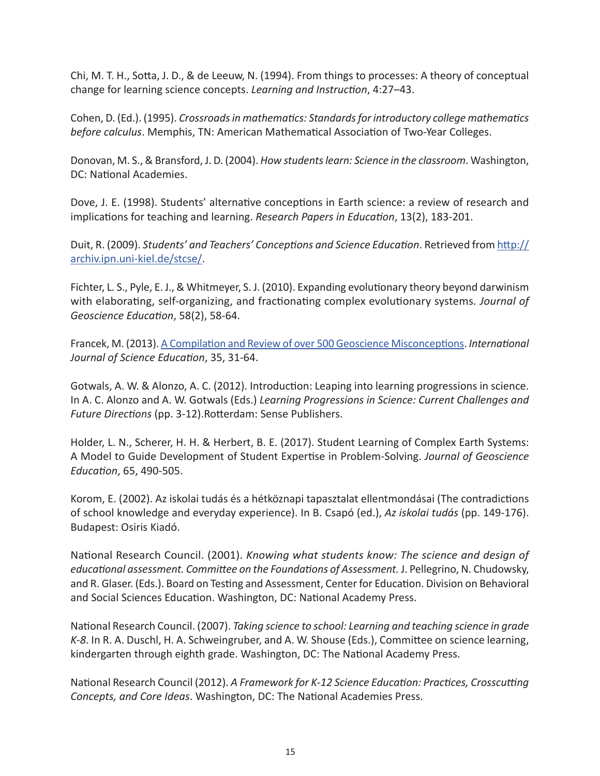Chi, M. T. H., Sotta, J. D., & de Leeuw, N. (1994). From things to processes: A theory of conceptual change for learning science concepts. *Learning and Instruction*, 4:27–43.

Cohen, D. (Ed.). (1995). *Crossroads in mathematics: Standards for introductory college mathematics before calculus*. Memphis, TN: American Mathematical Association of Two-Year Colleges.

Donovan, M. S., & Bransford, J. D. (2004). *How students learn: Science in the classroom*. Washington, DC: National Academies.

Dove, J. E. (1998). Students' alternative conceptions in Earth science: a review of research and implications for teaching and learning. *Research Papers in Education*, 13(2), 183-201.

Duit, R. (2009). *Students' and Teachers' Conceptions and Science Education*. Retrieved from [http://](http://archiv.ipn.uni-kiel.de/stcse/) [archiv.ipn.uni-kiel.de/stcse/](http://archiv.ipn.uni-kiel.de/stcse/).

Fichter, L. S., Pyle, E. J., & Whitmeyer, S. J. (2010). Expanding evolutionary theory beyond darwinism with elaborating, self-organizing, and fractionating complex evolutionary systems. *Journal of Geoscience Education*, 58(2), 58-64.

Francek, M. (2013). [A Compilation and Review of over 500 Geoscience Misconceptions](http://www.tandfonline.com/doi/abs/10.1080/09500693.2012.736644). *International Journal of Science Education*, 35, 31-64.

Gotwals, A. W. & Alonzo, A. C. (2012). Introduction: Leaping into learning progressions in science. In A. C. Alonzo and A. W. Gotwals (Eds.) *Learning Progressions in Science: Current Challenges and Future Directions* (pp. 3-12).Rotterdam: Sense Publishers.

Holder, L. N., Scherer, H. H. & Herbert, B. E. (2017). Student Learning of Complex Earth Systems: A Model to Guide Development of Student Expertise in Problem-Solving. *Journal of Geoscience Education*, 65, 490-505.

Korom, E. (2002). Az iskolai tudás és a hétköznapi tapasztalat ellentmondásai (The contradictions of school knowledge and everyday experience). In B. Csapó (ed.), *Az iskolai tudás* (pp. 149-176). Budapest: Osiris Kiadó.

National Research Council. (2001). *Knowing what students know: The science and design of educational assessment. Committee on the Foundations of Assessment.* J. Pellegrino, N. Chudowsky, and R. Glaser. (Eds.). Board on Testing and Assessment, Center for Education. Division on Behavioral and Social Sciences Education. Washington, DC: National Academy Press.

National Research Council. (2007). *Taking science to school: Learning and teaching science in grade K-8*. In R. A. Duschl, H. A. Schweingruber, and A. W. Shouse (Eds.), Committee on science learning, kindergarten through eighth grade. Washington, DC: The National Academy Press.

National Research Council (2012). *A Framework for K-12 Science Education: Practices, Crosscutting Concepts, and Core Ideas*. Washington, DC: The National Academies Press.